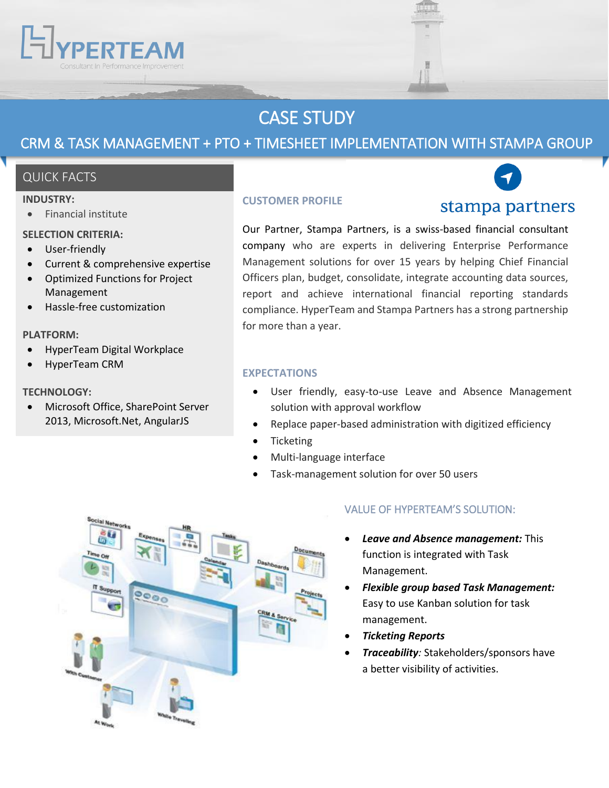# CASE STUDY

## CRM & TASK MANAGEMENT + PTO + TIMESHEET IMPLEMENTATION WITH STAMPA GROUP

## QUICK FACTS

#### **INDUSTRY:**

Financial institute

#### **SELECTION CRITERIA:**

- User-friendly
- Current & comprehensive expertise
- Optimized Functions for Project Management
- Hassle-free customization

#### **PLATFORM:**

- HyperTeam Digital Workplace
- HyperTeam CRM

#### **TECHNOLOGY:**

 Microsoft Office, SharePoint Server 2013, Microsoft.Net, AngularJS

#### **CUSTOMER PROFILE**

stampa partners

Our Partner, Stampa Partners, is a swiss-based financial consultant company who are experts in delivering Enterprise Performance Management solutions for over 15 years by helping Chief Financial Officers plan, budget, consolidate, integrate accounting data sources, report and achieve international financial reporting standards compliance. HyperTeam and Stampa Partners has a strong partnership for more than a year.

#### **EXPECTATIONS**

- User friendly, easy-to-use Leave and Absence Management solution with approval workflow
- Replace paper-based administration with digitized efficiency
- Ticketing
- Multi-language interface
- Task-management solution for over 50 users



### VALUE OF HYPERTEAM'S SOLUTION:

- *Leave and Absence management:* This function is integrated with Task Management.
- *Flexible group based Task Management:*  Easy to use Kanban solution for task management.
- *Ticketing Reports*
- *Traceability:* Stakeholders/sponsors have a better visibility of activities.